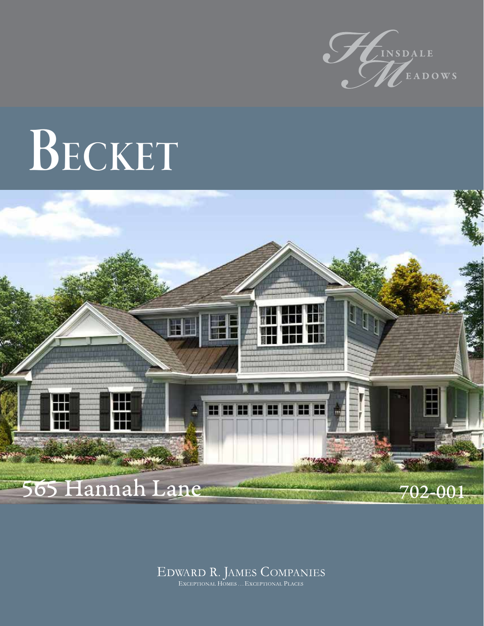

## BECKET



#### EDWARD R. JAMES COMPANIES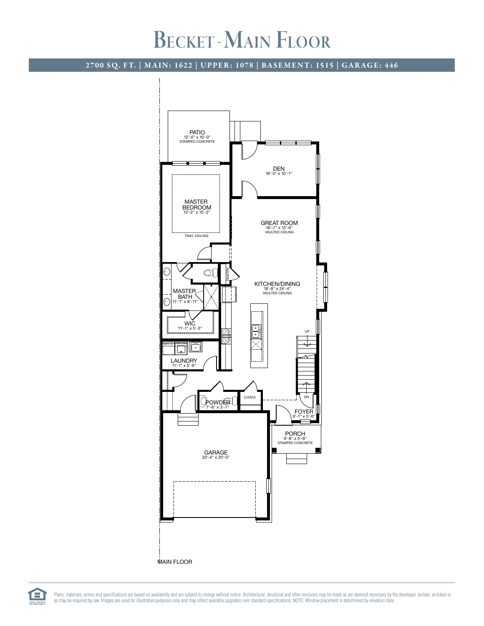### BECKET - MAIN FLOOR

#### 2700 SQ. FT. | MAIN: 1622 | UPPER: 1078 | BASEMENT: 1515 | GARAGE: 446



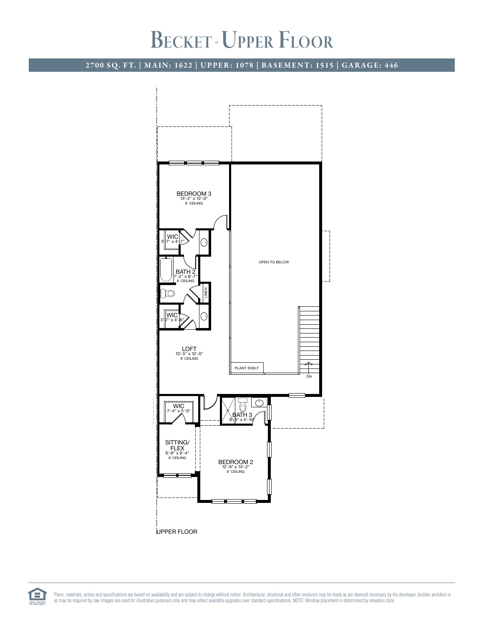### BECKET - UPPER FLOOR

2700 SQ. FT. | MAIN: 1622 | UPPER: 1078 | BASEMENT: 1515 | GARAGE: 446



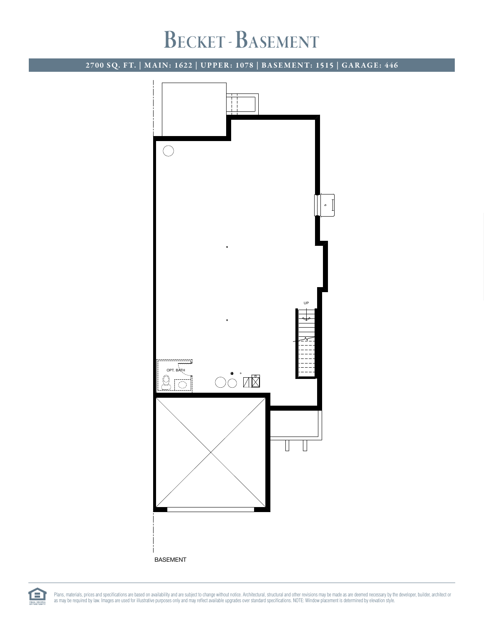### BECKET - BASEMENT

2700 SQ. FT. | MAIN: 1622 | UPPER: 1078 | BASEMENT: 1515 | GARAGE: 446